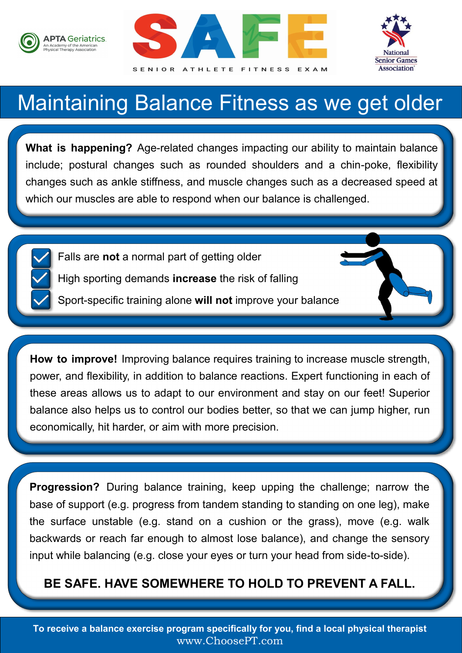





## Maintaining Balance Fitness as we get older

**What is happening?** Age-related changes impacting our ability to maintain balance include; postural changes such as rounded shoulders and a chin-poke, flexibility changes such as ankle stiffness, and muscle changes such as a decreased speed at which our muscles are able to respond when our balance is challenged.

- Falls are **not** a normal part of getting older
	- High sporting demands **increase** the risk of falling
	- Sport-specific training alone **will not** improve your balance

**How to improve!** Improving balance requires training to increase muscle strength, power, and flexibility, in addition to balance reactions. Expert functioning in each of these areas allows us to adapt to our environment and stay on our feet! Superior balance also helps us to control our bodies better, so that we can jump higher, run economically, hit harder, or aim with more precision.

**Progression?** During balance training, keep upping the challenge; narrow the base of support (e.g. progress from tandem standing to standing on one leg), make the surface unstable (e.g. stand on a cushion or the grass), move (e.g. walk backwards or reach far enough to almost lose balance), and change the sensory input while balancing (e.g. close your eyes or turn your head from side-to-side).

#### **BE SAFE. HAVE SOMEWHERE TO HOLD TO PREVENT A FALL.**

**To receive a balance exercise program specifically for you, find a local physical therapist**  www.ChoosePT.com